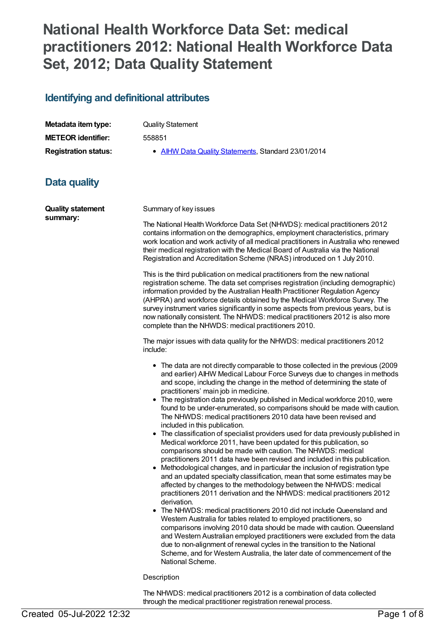# **National Health Workforce Data Set: medical practitioners 2012: National Health Workforce Data Set, 2012; Data Quality Statement**

### **Identifying and definitional attributes**

| Metadata item type:         | <b>Quality Statement</b>                            |
|-----------------------------|-----------------------------------------------------|
| <b>METEOR identifier:</b>   | 558851                                              |
| <b>Registration status:</b> | • AIHW Data Quality Statements, Standard 23/01/2014 |

## **Data quality**

| <b>Quality statement</b><br>summary: | Summary of key issues                                                                                                                                                                                                                                                                                                                                                                                                                                                                                                                                                                                                                                                                                                                                                                                                                                                                                                                                                                                                                                                                                                                                                                                                                                                                                                                                                                                                                                                                                                                                                                                                                                                         |  |
|--------------------------------------|-------------------------------------------------------------------------------------------------------------------------------------------------------------------------------------------------------------------------------------------------------------------------------------------------------------------------------------------------------------------------------------------------------------------------------------------------------------------------------------------------------------------------------------------------------------------------------------------------------------------------------------------------------------------------------------------------------------------------------------------------------------------------------------------------------------------------------------------------------------------------------------------------------------------------------------------------------------------------------------------------------------------------------------------------------------------------------------------------------------------------------------------------------------------------------------------------------------------------------------------------------------------------------------------------------------------------------------------------------------------------------------------------------------------------------------------------------------------------------------------------------------------------------------------------------------------------------------------------------------------------------------------------------------------------------|--|
|                                      | The National Health Workforce Data Set (NHWDS): medical practitioners 2012<br>contains information on the demographics, employment characteristics, primary<br>work location and work activity of all medical practitioners in Australia who renewed<br>their medical registration with the Medical Board of Australia via the National<br>Registration and Accreditation Scheme (NRAS) introduced on 1 July 2010.                                                                                                                                                                                                                                                                                                                                                                                                                                                                                                                                                                                                                                                                                                                                                                                                                                                                                                                                                                                                                                                                                                                                                                                                                                                            |  |
|                                      | This is the third publication on medical practitioners from the new national<br>registration scheme. The data set comprises registration (including demographic)<br>information provided by the Australian Health Practitioner Regulation Agency<br>(AHPRA) and workforce details obtained by the Medical Workforce Survey. The<br>survey instrument varies significantly in some aspects from previous years, but is<br>now nationally consistent. The NHWDS: medical practitioners 2012 is also more<br>complete than the NHWDS: medical practitioners 2010.                                                                                                                                                                                                                                                                                                                                                                                                                                                                                                                                                                                                                                                                                                                                                                                                                                                                                                                                                                                                                                                                                                                |  |
|                                      | The major issues with data quality for the NHWDS: medical practitioners 2012<br>include:                                                                                                                                                                                                                                                                                                                                                                                                                                                                                                                                                                                                                                                                                                                                                                                                                                                                                                                                                                                                                                                                                                                                                                                                                                                                                                                                                                                                                                                                                                                                                                                      |  |
|                                      | • The data are not directly comparable to those collected in the previous (2009<br>and earlier) AIHW Medical Labour Force Surveys due to changes in methods<br>and scope, including the change in the method of determining the state of<br>practitioners' main job in medicine.<br>• The registration data previously published in Medical workforce 2010, were<br>found to be under-enumerated, so comparisons should be made with caution.<br>The NHWDS: medical practitioners 2010 data have been revised and<br>included in this publication.<br>• The classification of specialist providers used for data previously published in<br>Medical workforce 2011, have been updated for this publication, so<br>comparisons should be made with caution. The NHWDS: medical<br>practitioners 2011 data have been revised and included in this publication.<br>• Methodological changes, and in particular the inclusion of registration type<br>and an updated specialty classification, mean that some estimates may be<br>affected by changes to the methodology between the NHWDS: medical<br>practitioners 2011 derivation and the NHWDS: medical practitioners 2012<br>derivation.<br>• The NHWDS: medical practitioners 2010 did not include Queensland and<br>Western Australia for tables related to employed practitioners, so<br>comparisons involving 2010 data should be made with caution. Queensland<br>and Western Australian employed practitioners were excluded from the data<br>due to non-alignment of renewal cycles in the transition to the National<br>Scheme, and for Western Australia, the later date of commencement of the<br>National Scheme. |  |
|                                      | Description                                                                                                                                                                                                                                                                                                                                                                                                                                                                                                                                                                                                                                                                                                                                                                                                                                                                                                                                                                                                                                                                                                                                                                                                                                                                                                                                                                                                                                                                                                                                                                                                                                                                   |  |

The NHWDS: medical practitioners 2012 is a combination of data collected through the medical practitioner registration renewal process.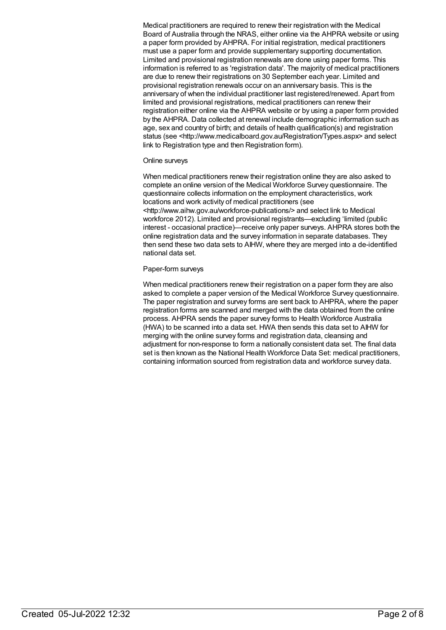Medical practitioners are required to renew their registration with the Medical Board of Australia through the NRAS, either online via the AHPRA website or using a paper form provided by AHPRA. For initial registration, medical practitioners must use a paper form and provide supplementary supporting documentation. Limited and provisional registration renewals are done using paper forms. This information is referred to as 'registration data'. The majority of medical practitioners are due to renew their registrations on 30 September each year. Limited and provisional registration renewals occur on an anniversary basis. This is the anniversary of when the individual practitioner last registered/renewed. Apart from limited and provisional registrations, medical practitioners can renew their registration either online via the AHPRA website or by using a paper form provided by the AHPRA. Data collected at renewal include demographic information such as age, sex and country of birth; and details of health qualification(s) and registration status (see <http://www.medicalboard.gov.au/Registration/Types.aspx> and select link to Registration type and then Registration form).

#### Online surveys

When medical practitioners renew their registration online they are also asked to complete an online version of the Medical Workforce Survey questionnaire. The questionnaire collects information on the employment characteristics, work locations and work activity of medical practitioners (see <http://www.aihw.gov.au/workforce-publications/> and select link to Medical workforce 2012). Limited and provisional registrants—excluding 'limited (public interest - occasional practice)—receive only paper surveys. AHPRA stores both the online registration data and the survey information in separate databases. They then send these two data sets to AIHW, where they are merged into a de-identified national data set.

#### Paper-form surveys

When medical practitioners renew their registration on a paper form they are also asked to complete a paper version of the Medical Workforce Survey questionnaire. The paper registration and survey forms are sent back to AHPRA, where the paper registration forms are scanned and merged with the data obtained from the online process. AHPRA sends the paper survey forms to Health Workforce Australia (HWA) to be scanned into a data set. HWA then sends this data set to AIHW for merging with the online survey forms and registration data, cleansing and adjustment for non-response to form a nationally consistent data set. The final data set is then known as the National Health Workforce Data Set: medical practitioners, containing information sourced from registration data and workforce survey data.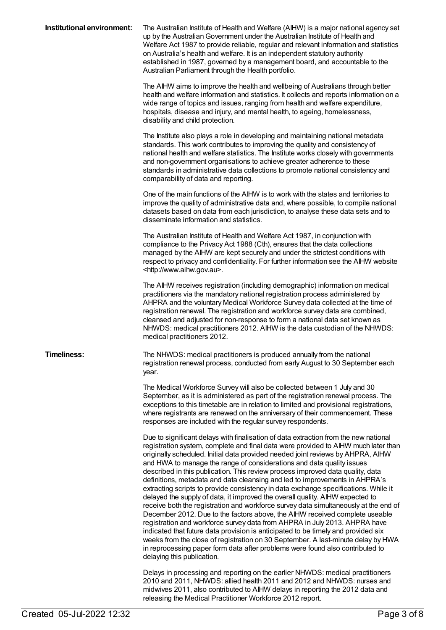| Institutional environment: | The Australian Institute of Health and Welfare (AIHW) is a major national agency set<br>up by the Australian Government under the Australian Institute of Health and<br>Welfare Act 1987 to provide reliable, regular and relevant information and statistics<br>on Australia's health and welfare. It is an independent statutory authority<br>established in 1987, governed by a management board, and accountable to the<br>Australian Parliament through the Health portfolio.<br>The AIHW aims to improve the health and wellbeing of Australians through better                                                                                                                                                                                                                                                                                                                                                                                                                                                                                                                                                                                                                                                        |
|----------------------------|------------------------------------------------------------------------------------------------------------------------------------------------------------------------------------------------------------------------------------------------------------------------------------------------------------------------------------------------------------------------------------------------------------------------------------------------------------------------------------------------------------------------------------------------------------------------------------------------------------------------------------------------------------------------------------------------------------------------------------------------------------------------------------------------------------------------------------------------------------------------------------------------------------------------------------------------------------------------------------------------------------------------------------------------------------------------------------------------------------------------------------------------------------------------------------------------------------------------------|
|                            | health and welfare information and statistics. It collects and reports information on a<br>wide range of topics and issues, ranging from health and welfare expenditure,<br>hospitals, disease and injury, and mental health, to ageing, homelessness,<br>disability and child protection.                                                                                                                                                                                                                                                                                                                                                                                                                                                                                                                                                                                                                                                                                                                                                                                                                                                                                                                                   |
|                            | The Institute also plays a role in developing and maintaining national metadata<br>standards. This work contributes to improving the quality and consistency of<br>national health and welfare statistics. The Institute works closely with governments<br>and non-government organisations to achieve greater adherence to these<br>standards in administrative data collections to promote national consistency and<br>comparability of data and reporting.                                                                                                                                                                                                                                                                                                                                                                                                                                                                                                                                                                                                                                                                                                                                                                |
|                            | One of the main functions of the AIHW is to work with the states and territories to<br>improve the quality of administrative data and, where possible, to compile national<br>datasets based on data from each jurisdiction, to analyse these data sets and to<br>disseminate information and statistics.                                                                                                                                                                                                                                                                                                                                                                                                                                                                                                                                                                                                                                                                                                                                                                                                                                                                                                                    |
|                            | The Australian Institute of Health and Welfare Act 1987, in conjunction with<br>compliance to the Privacy Act 1988 (Cth), ensures that the data collections<br>managed by the AIHW are kept securely and under the strictest conditions with<br>respect to privacy and confidentiality. For further information see the AIHW website<br><http: www.aihw.gov.au="">.</http:>                                                                                                                                                                                                                                                                                                                                                                                                                                                                                                                                                                                                                                                                                                                                                                                                                                                  |
|                            | The AIHW receives registration (including demographic) information on medical<br>practitioners via the mandatory national registration process administered by<br>AHPRA and the voluntary Medical Workforce Survey data collected at the time of<br>registration renewal. The registration and workforce survey data are combined,<br>cleansed and adjusted for non-response to form a national data set known as<br>NHWDS: medical practitioners 2012. AIHW is the data custodian of the NHWDS:<br>medical practitioners 2012.                                                                                                                                                                                                                                                                                                                                                                                                                                                                                                                                                                                                                                                                                              |
| <b>Timeliness:</b>         | The NHWDS: medical practitioners is produced annually from the national<br>registration renewal process, conducted from early August to 30 September each<br>year.                                                                                                                                                                                                                                                                                                                                                                                                                                                                                                                                                                                                                                                                                                                                                                                                                                                                                                                                                                                                                                                           |
|                            | The Medical Workforce Survey will also be collected between 1 July and 30<br>September, as it is administered as part of the registration renewal process. The<br>exceptions to this timetable are in relation to limited and provisional registrations,<br>where registrants are renewed on the anniversary of their commencement. These<br>responses are included with the regular survey respondents.                                                                                                                                                                                                                                                                                                                                                                                                                                                                                                                                                                                                                                                                                                                                                                                                                     |
|                            | Due to significant delays with finalisation of data extraction from the new national<br>registration system, complete and final data were provided to AIHW much later than<br>originally scheduled. Initial data provided needed joint reviews by AHPRA, AIHW<br>and HWA to manage the range of considerations and data quality issues<br>described in this publication. This review process improved data quality, data<br>definitions, metadata and data cleansing and led to improvements in AHPRA's<br>extracting scripts to provide consistency in data exchange specifications. While it<br>delayed the supply of data, it improved the overall quality. AIHW expected to<br>receive both the registration and workforce survey data simultaneously at the end of<br>December 2012. Due to the factors above, the AIHW received complete useable<br>registration and workforce survey data from AHPRA in July 2013. AHPRA have<br>indicated that future data provision is anticipated to be timely and provided six<br>weeks from the close of registration on 30 September. A last-minute delay by HWA<br>in reprocessing paper form data after problems were found also contributed to<br>delaying this publication. |
|                            | Delays in processing and reporting on the earlier NHWDS: medical practitioners<br>2010 and 2011, NHWDS: allied health 2011 and 2012 and NHWDS: nurses and<br>midwives 2011, also contributed to AIHW delays in reporting the 2012 data and                                                                                                                                                                                                                                                                                                                                                                                                                                                                                                                                                                                                                                                                                                                                                                                                                                                                                                                                                                                   |

releasing the Medical Practitioner Workforce 2012 report.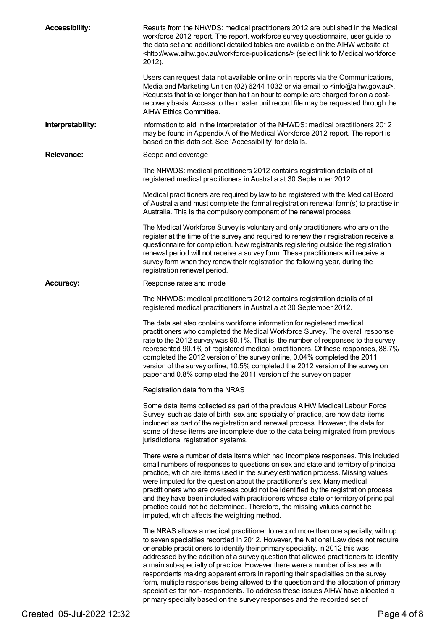| <b>Accessibility:</b> | Results from the NHWDS: medical practitioners 2012 are published in the Medical<br>workforce 2012 report. The report, workforce survey questionnaire, user guide to<br>the data set and additional detailed tables are available on the AIHW website at<br><http: workforce-publications="" www.aihw.gov.au=""></http:> (select link to Medical workforce<br>2012).                                                                                                                                                                                                                                                                                                                                                                                                        |
|-----------------------|----------------------------------------------------------------------------------------------------------------------------------------------------------------------------------------------------------------------------------------------------------------------------------------------------------------------------------------------------------------------------------------------------------------------------------------------------------------------------------------------------------------------------------------------------------------------------------------------------------------------------------------------------------------------------------------------------------------------------------------------------------------------------|
|                       | Users can request data not available online or in reports via the Communications,<br>Media and Marketing Unit on (02) 6244 1032 or via email to <info@aihw.gov.au>.<br/>Requests that take longer than half an hour to compile are charged for on a cost-<br/>recovery basis. Access to the master unit record file may be requested through the<br/><b>AIHW Ethics Committee.</b></info@aihw.gov.au>                                                                                                                                                                                                                                                                                                                                                                      |
| Interpretability:     | Information to aid in the interpretation of the NHWDS: medical practitioners 2012<br>may be found in Appendix A of the Medical Workforce 2012 report. The report is<br>based on this data set. See 'Accessibility' for details.                                                                                                                                                                                                                                                                                                                                                                                                                                                                                                                                            |
| <b>Relevance:</b>     | Scope and coverage                                                                                                                                                                                                                                                                                                                                                                                                                                                                                                                                                                                                                                                                                                                                                         |
|                       | The NHWDS: medical practitioners 2012 contains registration details of all<br>registered medical practitioners in Australia at 30 September 2012.                                                                                                                                                                                                                                                                                                                                                                                                                                                                                                                                                                                                                          |
|                       | Medical practitioners are required by law to be registered with the Medical Board<br>of Australia and must complete the formal registration renewal form(s) to practise in<br>Australia. This is the compulsory component of the renewal process.                                                                                                                                                                                                                                                                                                                                                                                                                                                                                                                          |
|                       | The Medical Workforce Survey is voluntary and only practitioners who are on the<br>register at the time of the survey and required to renew their registration receive a<br>questionnaire for completion. New registrants registering outside the registration<br>renewal period will not receive a survey form. These practitioners will receive a<br>survey form when they renew their registration the following year, during the<br>registration renewal period.                                                                                                                                                                                                                                                                                                       |
| <b>Accuracy:</b>      | Response rates and mode                                                                                                                                                                                                                                                                                                                                                                                                                                                                                                                                                                                                                                                                                                                                                    |
|                       | The NHWDS: medical practitioners 2012 contains registration details of all<br>registered medical practitioners in Australia at 30 September 2012.                                                                                                                                                                                                                                                                                                                                                                                                                                                                                                                                                                                                                          |
|                       | The data set also contains workforce information for registered medical<br>practitioners who completed the Medical Workforce Survey. The overall response<br>rate to the 2012 survey was 90.1%. That is, the number of responses to the survey<br>represented 90.1% of registered medical practitioners. Of these responses, 88.7%<br>completed the 2012 version of the survey online, 0.04% completed the 2011<br>version of the survey online, 10.5% completed the 2012 version of the survey on<br>paper and 0.8% completed the 2011 version of the survey on paper.                                                                                                                                                                                                    |
|                       | Registration data from the NRAS                                                                                                                                                                                                                                                                                                                                                                                                                                                                                                                                                                                                                                                                                                                                            |
|                       | Some data items collected as part of the previous AIHW Medical Labour Force<br>Survey, such as date of birth, sex and specialty of practice, are now data items<br>included as part of the registration and renewal process. However, the data for<br>some of these items are incomplete due to the data being migrated from previous<br>jurisdictional registration systems.                                                                                                                                                                                                                                                                                                                                                                                              |
|                       | There were a number of data items which had incomplete responses. This included<br>small numbers of responses to questions on sex and state and territory of principal<br>practice, which are items used in the survey estimation process. Missing values<br>were imputed for the question about the practitioner's sex. Many medical<br>practitioners who are overseas could not be identified by the registration process<br>and they have been included with practitioners whose state or territory of principal<br>practice could not be determined. Therefore, the missing values cannot be<br>imputed, which affects the weighting method.                                                                                                                           |
|                       | The NRAS allows a medical practitioner to record more than one specialty, with up<br>to seven specialties recorded in 2012. However, the National Law does not require<br>or enable practitioners to identify their primary speciality. In 2012 this was<br>addressed by the addition of a survey question that allowed practitioners to identify<br>a main sub-specialty of practice. However there were a number of issues with<br>respondents making apparent errors in reporting their specialties on the survey<br>form, multiple responses being allowed to the question and the allocation of primary<br>specialties for non- respondents. To address these issues AIHW have allocated a<br>primary specialty based on the survey responses and the recorded set of |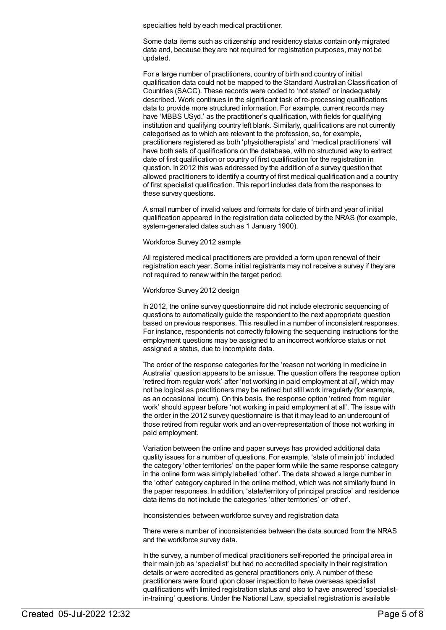specialties held by each medical practitioner.

Some data items such as citizenship and residency status contain only migrated data and, because they are not required for registration purposes, may not be updated.

For a large number of practitioners, country of birth and country of initial qualification data could not be mapped to the Standard Australian Classification of Countries (SACC). These records were coded to 'not stated' or inadequately described. Work continues in the significant task of re-processing qualifications data to provide more structured information. For example, current records may have 'MBBS USyd.' as the practitioner's qualification, with fields for qualifying institution and qualifying country left blank. Similarly, qualifications are not currently categorised as to which are relevant to the profession, so, for example, practitioners registered as both 'physiotherapists' and 'medical practitioners' will have both sets of qualifications on the database, with no structured way to extract date of first qualification or country of first qualification for the registration in question. In 2012 this was addressed by the addition of a survey question that allowed practitioners to identify a country of first medical qualification and a country of first specialist qualification. This report includes data from the responses to these survey questions.

A small number of invalid values and formats for date of birth and year of initial qualification appeared in the registration data collected by the NRAS (for example, system-generated dates such as 1 January 1900).

#### Workforce Survey 2012 sample

All registered medical practitioners are provided a form upon renewal of their registration each year. Some initial registrants may not receive a survey if they are not required to renew within the target period.

#### Workforce Survey 2012 design

In 2012, the online survey questionnaire did not include electronic sequencing of questions to automatically guide the respondent to the next appropriate question based on previous responses. This resulted in a number of inconsistent responses. For instance, respondents not correctly following the sequencing instructions for the employment questions may be assigned to an incorrect workforce status or not assigned a status, due to incomplete data.

The order of the response categories for the 'reason not working in medicine in Australia' question appears to be an issue. The question offers the response option 'retired from regular work' after 'not working in paid employment at all', which may not be logical as practitioners may be retired but still work irregularly (for example, as an occasional locum). On this basis, the response option 'retired from regular work' should appear before 'not working in paid employment at all'. The issue with the order in the 2012 survey questionnaire is that it may lead to an undercount of those retired from regular work and an over-representation of those not working in paid employment.

Variation between the online and paper surveys has provided additional data quality issues for a number of questions. For example, 'state of main job' included the category 'other territories' on the paper form while the same response category in the online form was simply labelled 'other'. The data showed a large number in the 'other' category captured in the online method, which was not similarly found in the paper responses. In addition, 'state/territory of principal practice' and residence data items do not include the categories 'other territories' or 'other'.

Inconsistencies between workforce survey and registration data

There were a number of inconsistencies between the data sourced from the NRAS and the workforce survey data.

In the survey, a number of medical practitioners self-reported the principal area in their main job as 'specialist' but had no accredited specialty in their registration details or were accredited as general practitioners only. A number of these practitioners were found upon closer inspection to have overseas specialist qualifications with limited registration status and also to have answered 'specialistin-training' questions. Under the National Law, specialist registration is available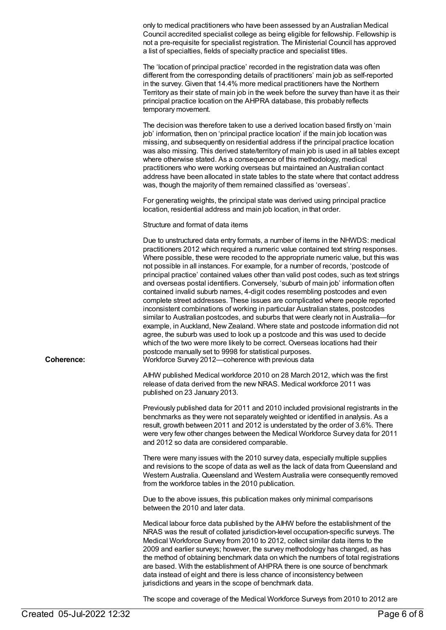only to medical practitioners who have been assessed by an Australian Medical Council accredited specialist college as being eligible for fellowship. Fellowship is not a pre-requisite for specialist registration. The Ministerial Council has approved a list of specialties, fields of specialty practice and specialist titles.

The 'location of principal practice' recorded in the registration data was often different from the corresponding details of practitioners' main job as self-reported in the survey. Given that 14.4% more medical practitioners have the Northern Territory as their state of main job in the week before the survey than have it as their principal practice location on the AHPRA database, this probably reflects temporary movement.

The decision was therefore taken to use a derived location based firstly on 'main job' information, then on 'principal practice location' if the main job location was missing, and subsequently on residential address if the principal practice location was also missing. This derived state/territory of main job is used in all tables except where otherwise stated. As a consequence of this methodology, medical practitioners who were working overseas but maintained an Australian contact address have been allocated in state tables to the state where that contact address was, though the majority of them remained classified as 'overseas'.

For generating weights, the principal state was derived using principal practice location, residential address and main job location, in that order.

Structure and format of data items

Due to unstructured data entry formats, a number of items in the NHWDS: medical practitioners 2012 which required a numeric value contained text string responses. Where possible, these were recoded to the appropriate numeric value, but this was not possible in all instances. For example, for a number of records, 'postcode of principal practice' contained values other than valid post codes, such as text strings and overseas postal identifiers. Conversely, 'suburb of main job' information often contained invalid suburb names, 4-digit codes resembling postcodes and even complete street addresses. These issues are complicated where people reported inconsistent combinations of working in particular Australian states, postcodes similar to Australian postcodes, and suburbs that were clearly not in Australia—for example, in Auckland, New Zealand. Where state and postcode information did not agree, the suburb was used to look up a postcode and this was used to decide which of the two were more likely to be correct. Overseas locations had their postcode manually set to 9998 for statistical purposes. **Coherence:** Workforce Survey 2012—coherence with previous data

> AIHW published Medical workforce 2010 on 28 March 2012, which was the first release of data derived from the new NRAS. Medical workforce 2011 was published on 23 January 2013.

Previously published data for 2011 and 2010 included provisional registrants in the benchmarks as they were not separately weighted or identified in analysis. As a result, growth between 2011 and 2012 is understated by the order of 3.6%. There were very few other changes between the Medical Workforce Survey data for 2011 and 2012 so data are considered comparable.

There were many issues with the 2010 survey data, especially multiple supplies and revisions to the scope of data as well as the lack of data from Queensland and Western Australia. Queensland and Western Australia were consequently removed from the workforce tables in the 2010 publication.

Due to the above issues, this publication makes only minimal comparisons between the 2010 and later data.

Medical labour force data published by the AIHW before the establishment of the NRAS was the result of collated jurisdiction-level occupation-specific surveys. The Medical Workforce Survey from 2010 to 2012, collect similar data items to the 2009 and earlier surveys; however, the survey methodology has changed, as has the method of obtaining benchmark data on which the numbers of total registrations are based. With the establishment of AHPRA there is one source of benchmark data instead of eight and there is less chance of inconsistency between jurisdictions and years in the scope of benchmark data.

The scope and coverage of the Medical Workforce Surveys from 2010 to 2012 are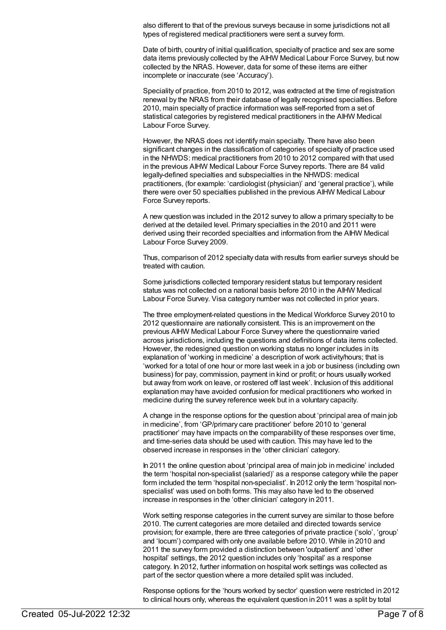also different to that of the previous surveys because in some jurisdictions not all types of registered medical practitioners were sent a survey form.

Date of birth, country of initial qualification, specialty of practice and sex are some data items previously collected by the AIHW Medical Labour Force Survey, but now collected by the NRAS. However, data for some of these items are either incomplete or inaccurate (see 'Accuracy').

Speciality of practice, from 2010 to 2012, was extracted at the time of registration renewal by the NRAS from their database of legally recognised specialties. Before 2010, main specialty of practice information was self-reported from a set of statistical categories by registered medical practitioners in the AIHW Medical Labour Force Survey.

However, the NRAS does not identify main specialty. There have also been significant changes in the classification of categories of specialty of practice used in the NHWDS: medical practitioners from 2010 to 2012 compared with that used in the previous AIHW Medical Labour Force Survey reports. There are 84 valid legally-defined specialties and subspecialties in the NHWDS: medical practitioners, (for example: 'cardiologist (physician)' and 'general practice'), while there were over 50 specialties published in the previous AIHW Medical Labour Force Survey reports.

A new question was included in the 2012 survey to allow a primary specialty to be derived at the detailed level. Primary specialties in the 2010 and 2011 were derived using their recorded specialties and information from the AIHW Medical Labour Force Survey 2009.

Thus, comparison of 2012 specialty data with results from earlier surveys should be treated with caution.

Some jurisdictions collected temporary resident status but temporary resident status was not collected on a national basis before 2010 in the AIHW Medical Labour Force Survey. Visa category number was not collected in prior years.

The three employment-related questions in the Medical Workforce Survey 2010 to 2012 questionnaire are nationally consistent. This is an improvement on the previous AIHW Medical Labour Force Survey where the questionnaire varied across jurisdictions, including the questions and definitions of data items collected. However, the redesigned question on working status no longer includes in its explanation of 'working in medicine' a description of work activity/hours; that is 'worked for a total of one hour or more last week in a job or business (including own business) for pay, commission, payment in kind or profit; or hours usually worked but away from work on leave, or rostered off last week'. Inclusion of this additional explanation may have avoided confusion for medical practitioners who worked in medicine during the survey reference week but in a voluntary capacity.

A change in the response options for the question about 'principal area of main job in medicine', from 'GP/primary care practitioner' before 2010 to 'general practitioner' may have impacts on the comparability of these responses over time, and time-series data should be used with caution. This may have led to the observed increase in responses in the 'other clinician' category.

In 2011 the online question about 'principal area of main job in medicine' included the term 'hospital non-specialist (salaried)' as a response category while the paper form included the term 'hospital non-specialist'. In 2012 only the term 'hospital nonspecialist' was used on both forms. This may also have led to the observed increase in responses in the 'other clinician' category in 2011.

Work setting response categories in the current survey are similar to those before 2010. The current categories are more detailed and directed towards service provision; for example, there are three categories of private practice ('solo', 'group' and 'locum') compared with only one available before 2010. While in 2010 and 2011 the survey form provided a distinction between 'outpatient' and 'other hospital' settings, the 2012 question includes only 'hospital' as a response category. In 2012, further information on hospital work settings was collected as part of the sector question where a more detailed split was included.

Response options for the 'hours worked by sector' question were restricted in 2012 to clinical hours only, whereas the equivalent question in 2011 was a split by total